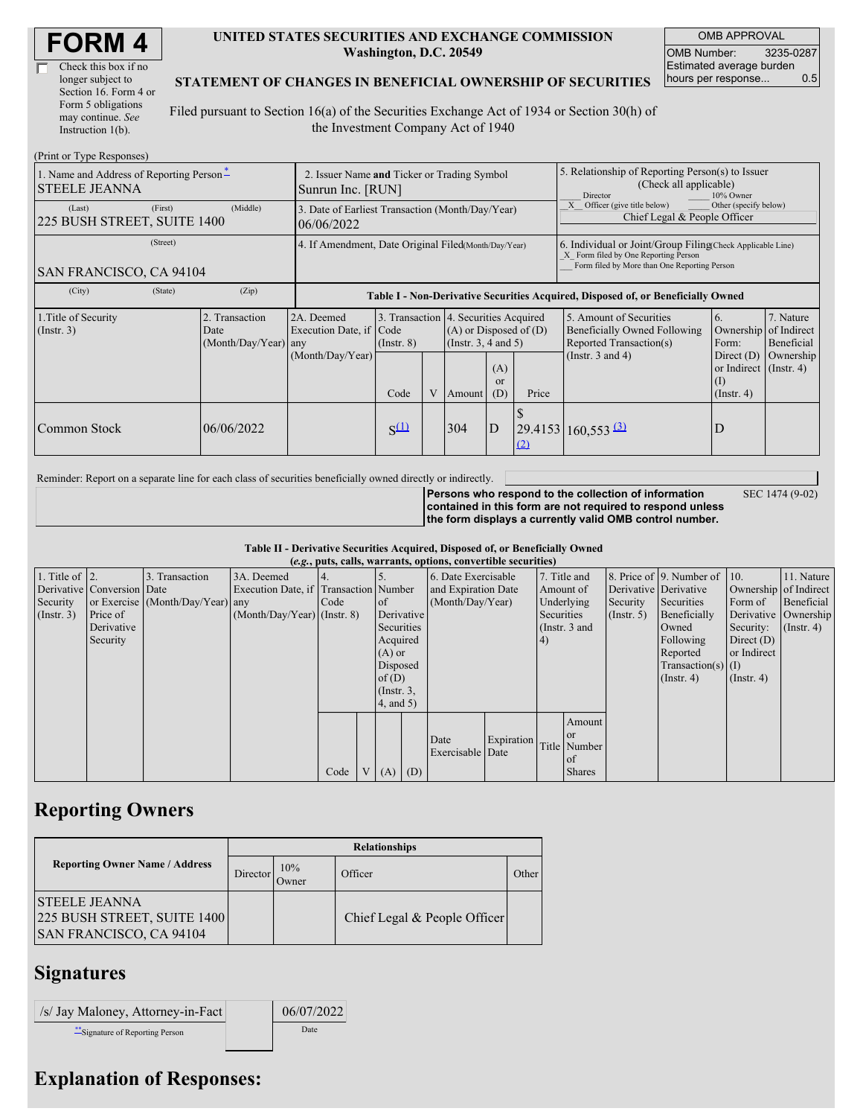| Check this box if no  |  |
|-----------------------|--|
| longer subject to     |  |
| Section 16. Form 4 or |  |
| Form 5 obligations    |  |
| may continue. See     |  |
| Instruction 1(b).     |  |

#### **UNITED STATES SECURITIES AND EXCHANGE COMMISSION Washington, D.C. 20549**

OMB APPROVAL OMB Number: 3235-0287 Estimated average burden hours per response... 0.5

SEC 1474 (9-02)

### **STATEMENT OF CHANGES IN BENEFICIAL OWNERSHIP OF SECURITIES**

Filed pursuant to Section 16(a) of the Securities Exchange Act of 1934 or Section 30(h) of the Investment Company Act of 1940

| (Print or Type Responses)                                                                  |                                                                  |                                                                                  |                         |  |                                                                                            |                             |                                                                                                                                                    |                                                                                     |                                                                            |                         |
|--------------------------------------------------------------------------------------------|------------------------------------------------------------------|----------------------------------------------------------------------------------|-------------------------|--|--------------------------------------------------------------------------------------------|-----------------------------|----------------------------------------------------------------------------------------------------------------------------------------------------|-------------------------------------------------------------------------------------|----------------------------------------------------------------------------|-------------------------|
| 1. Name and Address of Reporting Person-<br><b>STEELE JEANNA</b>                           | 2. Issuer Name and Ticker or Trading Symbol<br>Sunrun Inc. [RUN] |                                                                                  |                         |  |                                                                                            |                             | 5. Relationship of Reporting Person(s) to Issuer<br>(Check all applicable)<br>10% Owner<br>Director                                                |                                                                                     |                                                                            |                         |
| (First)<br>(Last)<br>225 BUSH STREET, SUITE 1400                                           | (Middle)                                                         | 3. Date of Earliest Transaction (Month/Day/Year)<br>06/06/2022                   |                         |  |                                                                                            |                             |                                                                                                                                                    | Officer (give title below)<br>Other (specify below)<br>Chief Legal & People Officer |                                                                            |                         |
| (Street)<br>SAN FRANCISCO, CA 94104                                                        | 4. If Amendment, Date Original Filed (Month/Day/Year)            |                                                                                  |                         |  |                                                                                            |                             | 6. Individual or Joint/Group Filing Check Applicable Line)<br>X Form filed by One Reporting Person<br>Form filed by More than One Reporting Person |                                                                                     |                                                                            |                         |
| (City)<br>(State)                                                                          | (Zip)                                                            | Table I - Non-Derivative Securities Acquired, Disposed of, or Beneficially Owned |                         |  |                                                                                            |                             |                                                                                                                                                    |                                                                                     |                                                                            |                         |
| 1. Title of Security<br>2. Transaction<br>$($ Instr. 3 $)$<br>Date<br>(Month/Day/Year) any |                                                                  | 2A. Deemed<br>Execution Date, if                                                 | Code<br>$($ Instr. $8)$ |  | 3. Transaction 4. Securities Acquired<br>$(A)$ or Disposed of $(D)$<br>(Instr. 3, 4 and 5) |                             |                                                                                                                                                    | 5. Amount of Securities<br>Beneficially Owned Following<br>Reported Transaction(s)  | 6.<br>Ownership of Indirect<br>Form:                                       | 7. Nature<br>Beneficial |
|                                                                                            |                                                                  | (Month/Day/Year)                                                                 | Code                    |  | Amount                                                                                     | (A)<br><sub>or</sub><br>(D) | Price                                                                                                                                              | (Instr. $3$ and $4$ )                                                               | Direct $(D)$<br>or Indirect $($ Instr. 4 $)$<br>$($ I)<br>$($ Instr. 4 $)$ | Ownership               |
| Common Stock                                                                               | 06/06/2022                                                       |                                                                                  | $S^{(1)}$               |  | 304                                                                                        | D                           | (2)                                                                                                                                                | $\left  \frac{29.4153}{160.553} \right $                                            | D                                                                          |                         |

Reminder: Report on a separate line for each class of securities beneficially owned directly or indirectly.

**Persons who respond to the collection of information contained in this form are not required to respond unless the form displays a currently valid OMB control number.**

**Table II - Derivative Securities Acquired, Disposed of, or Beneficially Owned**

|                        | (e.g., puts, calls, warrants, options, convertible securities) |                                  |                                       |      |  |                 |          |                     |            |               |               |                      |                          |                       |                  |
|------------------------|----------------------------------------------------------------|----------------------------------|---------------------------------------|------|--|-----------------|----------|---------------------|------------|---------------|---------------|----------------------|--------------------------|-----------------------|------------------|
| 1. Title of $\vert$ 2. |                                                                | 3. Transaction                   | 3A. Deemed                            |      |  |                 |          | 6. Date Exercisable |            |               | 7. Title and  |                      | 8. Price of 9. Number of | $\vert$ 10.           | 11. Nature       |
|                        | Derivative Conversion Date                                     |                                  | Execution Date, if Transaction Number |      |  |                 |          | and Expiration Date |            | Amount of     |               |                      | Derivative Derivative    | Ownership of Indirect |                  |
| Security               |                                                                | or Exercise (Month/Day/Year) any |                                       | Code |  | of              |          | (Month/Day/Year)    |            |               | Underlying    | Security             | Securities               | Form of               | Beneficial       |
| $($ Instr. 3 $)$       | Price of                                                       |                                  | $(Month/Day/Year)$ (Instr. 8)         |      |  | Derivative      |          |                     |            | Securities    |               | $($ Instr. 5)        | Beneficially             | Derivative Ownership  |                  |
|                        | Derivative                                                     |                                  |                                       |      |  | Securities      |          |                     |            | (Instr. 3 and |               |                      | Owned                    | Security:             | $($ Instr. 4 $)$ |
|                        | Security                                                       |                                  |                                       |      |  | Acquired        |          |                     |            | 4)            |               |                      | Following                | Direct $(D)$          |                  |
|                        |                                                                |                                  |                                       |      |  | $(A)$ or        |          |                     |            |               |               |                      | Reported                 | or Indirect           |                  |
|                        |                                                                |                                  |                                       |      |  |                 | Disposed |                     |            |               |               | Transaction(s) $(I)$ |                          |                       |                  |
|                        |                                                                |                                  |                                       |      |  | of $(D)$        |          |                     |            |               |               | $($ Instr. 4 $)$     | $($ Instr. 4 $)$         |                       |                  |
|                        |                                                                |                                  |                                       |      |  | $($ Instr. 3,   |          |                     |            |               |               |                      |                          |                       |                  |
|                        |                                                                |                                  |                                       |      |  | $4$ , and $5$ ) |          |                     |            |               |               |                      |                          |                       |                  |
|                        |                                                                |                                  |                                       |      |  |                 |          |                     |            |               | Amount        |                      |                          |                       |                  |
|                        |                                                                |                                  |                                       |      |  |                 |          |                     |            |               | <sub>or</sub> |                      |                          |                       |                  |
|                        |                                                                |                                  |                                       |      |  |                 |          | Date                | Expiration |               | Title Number  |                      |                          |                       |                  |
|                        |                                                                |                                  |                                       |      |  |                 |          | Exercisable Date    |            |               | of            |                      |                          |                       |                  |
|                        |                                                                |                                  |                                       | Code |  | V(A)            | (D)      |                     |            |               | <b>Shares</b> |                      |                          |                       |                  |

## **Reporting Owners**

|                                                                                        | <b>Relationships</b> |              |                              |       |  |  |  |  |  |
|----------------------------------------------------------------------------------------|----------------------|--------------|------------------------------|-------|--|--|--|--|--|
| <b>Reporting Owner Name / Address</b>                                                  | Director             | 10%<br>Jwner | Officer                      | Other |  |  |  |  |  |
| <b>ISTEELE JEANNA</b><br>225 BUSH STREET, SUITE 1400<br><b>SAN FRANCISCO, CA 94104</b> |                      |              | Chief Legal & People Officer |       |  |  |  |  |  |

# **Signatures**

| <i>S/ Jay Maloney, Attorney-in-Fact</i> | 06/07/2022 |
|-----------------------------------------|------------|
| ** Signature of Reporting Person        | Date       |

# **Explanation of Responses:**